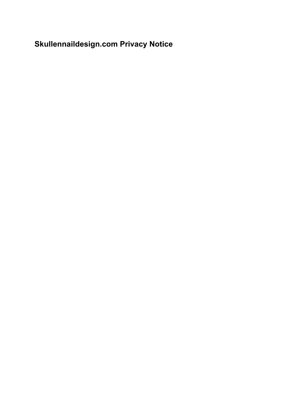# **Skullennaildesign.com Privacy Notice**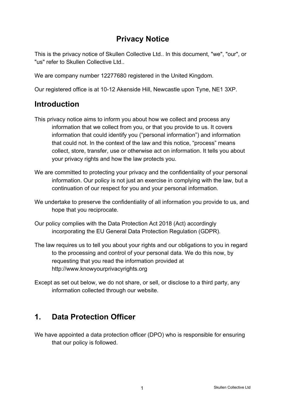# **Privacy Notice**

This is the privacy notice of Skullen Collective Ltd.. In this document, "we", "our", or "us" refer to Skullen Collective Ltd..

We are company number 12277680 registered in the United Kingdom.

Our registered office is at 10-12 Akenside Hill, Newcastle upon Tyne, NE1 3XP.

# **Introduction**

- This privacy notice aims to inform you about how we collect and process any information that we collect from you, or that you provide to us. It covers information that could identify you ("personal information") and information that could not. In the context of the law and this notice, "process" means collect, store, transfer, use or otherwise act on information. It tells you about your privacy rights and how the law protects you.
- We are committed to protecting your privacy and the confidentiality of your personal information. Our policy is not just an exercise in complying with the law, but a continuation of our respect for you and your personal information.
- We undertake to preserve the confidentiality of all information you provide to us, and hope that you reciprocate.
- Our policy complies with the Data Protection Act 2018 (Act) accordingly incorporating the EU General Data Protection Regulation (GDPR).
- The law requires us to tell you about your rights and our obligations to you in regard to the processing and control of your personal data. We do this now, by requesting that you read the information provided at [http://www.knowyourprivacyrights.org](http://www.knowyourprivacyrights.org/)
- Except as set out below, we do not share, or sell, or disclose to a third party, any information collected through our website.

# **1. Data Protection Officer**

We have appointed a data protection officer (DPO) who is responsible for ensuring that our policy is followed.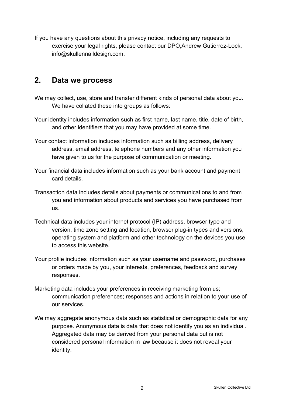If you have any questions about this privacy notice, including any requests to exercise your legal rights, please contact our DPO,Andrew Gutierrez-Lock, info@skullennaildesign.com.

#### **2. Data we process**

- We may collect, use, store and transfer different kinds of personal data about you. We have collated these into groups as follows:
- Your identity includes information such as first name, last name, title, date of birth, and other identifiers that you may have provided at some time.
- Your contact information includes information such as billing address, delivery address, email address, telephone numbers and any other information you have given to us for the purpose of communication or meeting.
- Your financial data includes information such as your bank account and payment card details.
- Transaction data includes details about payments or communications to and from you and information about products and services you have purchased from us.
- Technical data includes your internet protocol (IP) address, browser type and version, time zone setting and location, browser plug-in types and versions, operating system and platform and other technology on the devices you use to access this website.
- Your profile includes information such as your username and password, purchases or orders made by you, your interests, preferences, feedback and survey responses.
- Marketing data includes your preferences in receiving marketing from us; communication preferences; responses and actions in relation to your use of our services.
- We may aggregate anonymous data such as statistical or demographic data for any purpose. Anonymous data is data that does not identify you as an individual. Aggregated data may be derived from your personal data but is not considered personal information in law because it does not reveal your identity.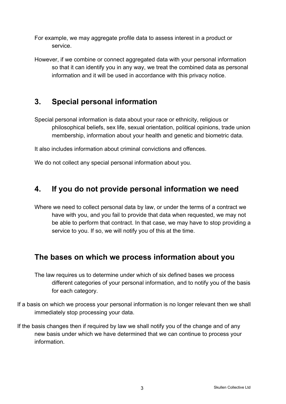- For example, we may aggregate profile data to assess interest in a product or service.
- However, if we combine or connect aggregated data with your personal information so that it can identify you in any way, we treat the combined data as personal information and it will be used in accordance with this privacy notice.

# **3. Special personal information**

Special personal information is data about your race or ethnicity, religious or philosophical beliefs, sex life, sexual orientation, political opinions, trade union membership, information about your health and genetic and biometric data.

It also includes information about criminal convictions and offences.

We do not collect any special personal information about you.

#### **4. If you do not provide personal information we need**

Where we need to collect personal data by law, or under the terms of a contract we have with you, and you fail to provide that data when requested, we may not be able to perform that contract. In that case, we may have to stop providing a service to you. If so, we will notify you of this at the time.

# **The bases on which we process information about you**

- The law requires us to determine under which of six defined bases we process different categories of your personal information, and to notify you of the basis for each category.
- If a basis on which we process your personal information is no longer relevant then we shall immediately stop processing your data.
- If the basis changes then if required by law we shall notify you of the change and of any new basis under which we have determined that we can continue to process your information.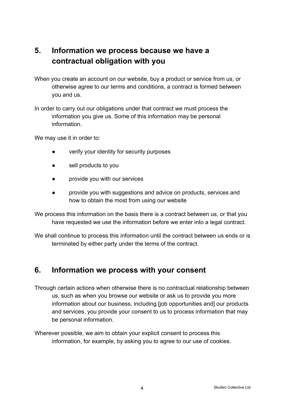# **5. Information we process because we have a contractual obligation with you**

When you create an account on our website, buy a product or service from us, or otherwise agree to our terms and conditions, a contract is formed between you and us.

In order to carry out our obligations under that contract we must process the information you give us. Some of this information may be personal information.

We may use it in order to:

- verify your identity for security purposes
- sell products to you
- provide you with our services
- provide you with suggestions and advice on products, services and how to obtain the most from using our website

We process this information on the basis there is a contract between us, or that you have requested we use the information before we enter into a legal contract.

We shall continue to process this information until the contract between us ends or is terminated by either party under the terms of the contract.

#### **6. Information we process with your consent**

- Through certain actions when otherwise there is no contractual relationship between us, such as when you browse our website or ask us to provide you more information about our business, including [job opportunities and] our products and services, you provide your consent to us to process information that may be personal information.
- Wherever possible, we aim to obtain your explicit consent to process this information, for example, by asking you to agree to our use of cookies.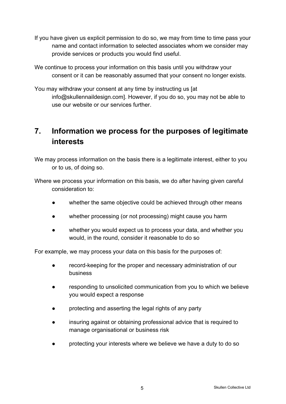- If you have given us explicit permission to do so, we may from time to time pass your name and contact information to selected associates whom we consider may provide services or products you would find useful.
- We continue to process your information on this basis until you withdraw your consent or it can be reasonably assumed that your consent no longer exists.
- You may withdraw your consent at any time by instructing us [at info@skullennaildesign.com]. However, if you do so, you may not be able to use our website or our services further.

# **7. Information we process for the purposes of legitimate interests**

We may process information on the basis there is a legitimate interest, either to you or to us, of doing so.

Where we process your information on this basis, we do after having given careful consideration to:

- whether the same objective could be achieved through other means
- whether processing (or not processing) might cause you harm
- whether you would expect us to process your data, and whether you would, in the round, consider it reasonable to do so

For example, we may process your data on this basis for the purposes of:

- record-keeping for the proper and necessary administration of our business
- responding to unsolicited communication from you to which we believe you would expect a response
- protecting and asserting the legal rights of any party
- insuring against or obtaining professional advice that is required to manage organisational or business risk
- protecting your interests where we believe we have a duty to do so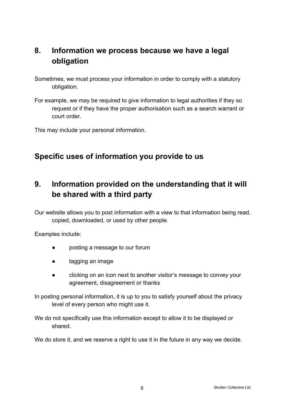# **8. Information we process because we have a legal obligation**

Sometimes, we must process your information in order to comply with a statutory obligation.

For example, we may be required to give information to legal authorities if they so request or if they have the proper authorisation such as a search warrant or court order.

This may include your personal information.

# **Specific uses of information you provide to us**

# **9. Information provided on the understanding that it will be shared with a third party**

Our website allows you to post information with a view to that information being read, copied, downloaded, or used by other people.

Examples include:

- posting a message to our forum
- tagging an image
- clicking on an icon next to another visitor's message to convey your agreement, disagreement or thanks

In posting personal information, it is up to you to satisfy yourself about the privacy level of every person who might use it.

We do not specifically use this information except to allow it to be displayed or shared.

We do store it, and we reserve a right to use it in the future in any way we decide.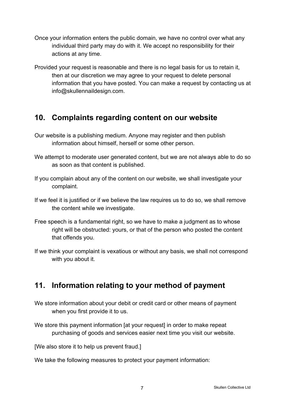- Once your information enters the public domain, we have no control over what any individual third party may do with it. We accept no responsibility for their actions at any time.
- Provided your request is reasonable and there is no legal basis for us to retain it, then at our discretion we may agree to your request to delete personal information that you have posted. You can make a request by contacting us at info@skullennaildesign.com.

#### **10. Complaints regarding content on our website**

- Our website is a publishing medium. Anyone may register and then publish information about himself, herself or some other person.
- We attempt to moderate user generated content, but we are not always able to do so as soon as that content is published.
- If you complain about any of the content on our website, we shall investigate your complaint.
- If we feel it is justified or if we believe the law requires us to do so, we shall remove the content while we investigate.
- Free speech is a fundamental right, so we have to make a judgment as to whose right will be obstructed: yours, or that of the person who posted the content that offends you.
- If we think your complaint is vexatious or without any basis, we shall not correspond with you about it.

# **11. Information relating to your method of payment**

- We store information about your debit or credit card or other means of payment when you first provide it to us.
- We store this payment information [at your request] in order to make repeat purchasing of goods and services easier next time you visit our website.

[We also store it to help us prevent fraud.]

We take the following measures to protect your payment information: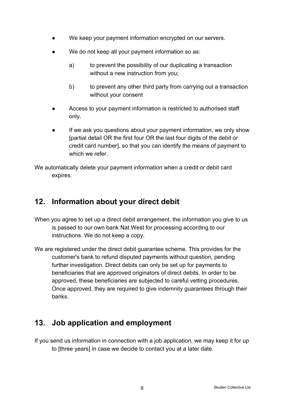- We keep your payment information encrypted on our servers.
- We do not keep all your payment information so as:
	- a) to prevent the possibility of our duplicating a transaction without a new instruction from you;
	- b) to prevent any other third party from carrying out a transaction without your consent
- Access to your payment information is restricted to authorised staff only.
- If we ask you questions about your payment information, we only show [partial detail OR the first four OR the last four digits of the debit or credit card number], so that you can identify the means of payment to which we refer

We automatically delete your payment information when a credit or debit card expires.

# **12. Information about your direct debit**

- When you agree to set up a direct debit arrangement, the information you give to us is passed to our own bank Nat West for processing according to our instructions. We do not keep a copy.
- We are registered under the direct debit guarantee scheme. This provides for the customer's bank to refund disputed payments without question, pending further investigation. Direct debits can only be set up for payments to beneficiaries that are approved originators of direct debits. In order to be approved, these beneficiaries are subjected to careful vetting procedures. Once approved, they are required to give indemnity guarantees through their banks.

# **13. Job application and employment**

If you send us information in connection with a job application, we may keep it for up to [three years] in case we decide to contact you at a later date.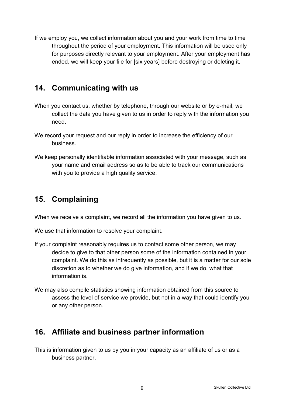If we employ you, we collect information about you and your work from time to time throughout the period of your employment. This information will be used only for purposes directly relevant to your employment. After your employment has ended, we will keep your file for [six years] before destroying or deleting it.

#### **14. Communicating with us**

- When you contact us, whether by telephone, through our website or by e-mail, we collect the data you have given to us in order to reply with the information you need.
- We record your request and our reply in order to increase the efficiency of our business.
- We keep personally identifiable information associated with your message, such as your name and email address so as to be able to track our communications with you to provide a high quality service.

#### **15. Complaining**

When we receive a complaint, we record all the information you have given to us.

We use that information to resolve your complaint.

- If your complaint reasonably requires us to contact some other person, we may decide to give to that other person some of the information contained in your complaint. We do this as infrequently as possible, but it is a matter for our sole discretion as to whether we do give information, and if we do, what that information is.
- We may also compile statistics showing information obtained from this source to assess the level of service we provide, but not in a way that could identify you or any other person.

# **16. Affiliate and business partner information**

This is information given to us by you in your capacity as an affiliate of us or as a business partner.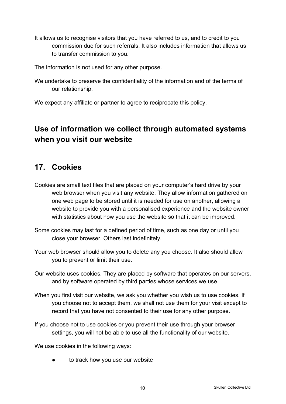It allows us to recognise visitors that you have referred to us, and to credit to you commission due for such referrals. It also includes information that allows us to transfer commission to you.

The information is not used for any other purpose.

We undertake to preserve the confidentiality of the information and of the terms of our relationship.

We expect any affiliate or partner to agree to reciprocate this policy.

# **Use of information we collect through automated systems when you visit our website**

# **17. Cookies**

- Cookies are small text files that are placed on your computer's hard drive by your web browser when you visit any website. They allow information gathered on one web page to be stored until it is needed for use on another, allowing a website to provide you with a personalised experience and the website owner with statistics about how you use the website so that it can be improved.
- Some cookies may last for a defined period of time, such as one day or until you close your browser. Others last indefinitely.
- Your web browser should allow you to delete any you choose. It also should allow you to prevent or limit their use.
- Our website uses cookies. They are placed by software that operates on our servers, and by software operated by third parties whose services we use.
- When you first visit our website, we ask you whether you wish us to use cookies. If you choose not to accept them, we shall not use them for your visit except to record that you have not consented to their use for any other purpose.
- If you choose not to use cookies or you prevent their use through your browser settings, you will not be able to use all the functionality of our website.

We use cookies in the following ways:

to track how you use our website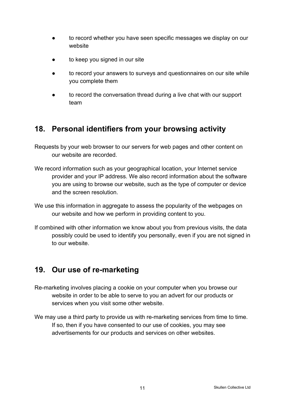- to record whether you have seen specific messages we display on our website
- to keep you signed in our site
- to record your answers to surveys and questionnaires on our site while you complete them
- to record the conversation thread during a live chat with our support team

# **18. Personal identifiers from your browsing activity**

Requests by your web browser to our servers for web pages and other content on our website are recorded.

- We record information such as your geographical location, your Internet service provider and your IP address. We also record information about the software you are using to browse our website, such as the type of computer or device and the screen resolution.
- We use this information in aggregate to assess the popularity of the webpages on our website and how we perform in providing content to you.
- If combined with other information we know about you from previous visits, the data possibly could be used to identify you personally, even if you are not signed in to our website.

# **19. Our use of re-marketing**

- Re-marketing involves placing a cookie on your computer when you browse our website in order to be able to serve to you an advert for our products or services when you visit some other website.
- We may use a third party to provide us with re-marketing services from time to time. If so, then if you have consented to our use of cookies, you may see advertisements for our products and services on other websites.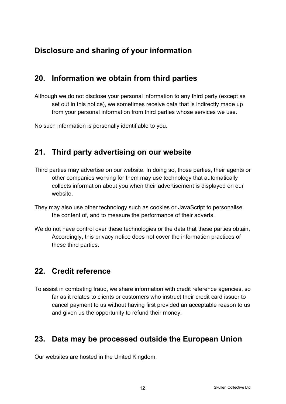# **Disclosure and sharing of your information**

# **20. Information we obtain from third parties**

Although we do not disclose your personal information to any third party (except as set out in this notice), we sometimes receive data that is indirectly made up from your personal information from third parties whose services we use.

No such information is personally identifiable to you.

#### **21. Third party advertising on our website**

- Third parties may advertise on our website. In doing so, those parties, their agents or other companies working for them may use technology that automatically collects information about you when their advertisement is displayed on our website.
- They may also use other technology such as cookies or JavaScript to personalise the content of, and to measure the performance of their adverts.
- We do not have control over these technologies or the data that these parties obtain. Accordingly, this privacy notice does not cover the information practices of these third parties.

# **22. Credit reference**

To assist in combating fraud, we share information with credit reference agencies, so far as it relates to clients or customers who instruct their credit card issuer to cancel payment to us without having first provided an acceptable reason to us and given us the opportunity to refund their money.

# **23. Data may be processed outside the European Union**

Our websites are hosted in the United Kingdom.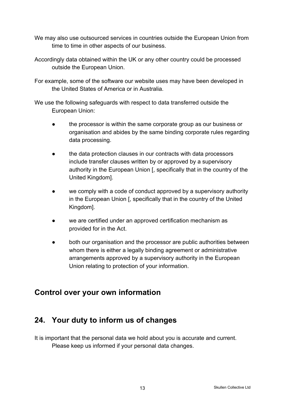- We may also use outsourced services in countries outside the European Union from time to time in other aspects of our business.
- Accordingly data obtained within the UK or any other country could be processed outside the European Union.

For example, some of the software our website uses may have been developed in the United States of America or in Australia.

We use the following safeguards with respect to data transferred outside the European Union:

- the processor is within the same corporate group as our business or organisation and abides by the same binding corporate rules regarding data processing.
- the data protection clauses in our contracts with data processors include transfer clauses written by or approved by a supervisory authority in the European Union [, specifically that in the country of the United Kingdom].
- we comply with a code of conduct approved by a supervisory authority in the European Union [, specifically that in the country of the United Kingdom].
- we are certified under an approved certification mechanism as provided for in the Act.
- both our organisation and the processor are public authorities between whom there is either a legally binding agreement or administrative arrangements approved by a supervisory authority in the European Union relating to protection of your information.

# **Control over your own information**

# **24. Your duty to inform us of changes**

It is important that the personal data we hold about you is accurate and current. Please keep us informed if your personal data changes.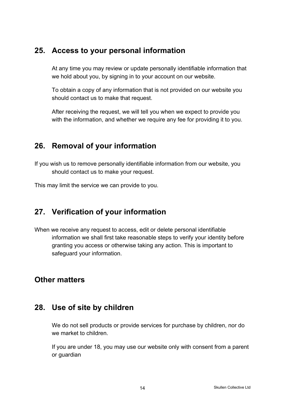#### **25. Access to your personal information**

At any time you may review or update personally identifiable information that we hold about you, by signing in to your account on our website.

To obtain a copy of any information that is not provided on our website you should contact us to make that request.

After receiving the request, we will tell you when we expect to provide you with the information, and whether we require any fee for providing it to you.

# **26. Removal of your information**

If you wish us to remove personally identifiable information from our website, you should contact us to make your request.

This may limit the service we can provide to you.

# **27. Verification of your information**

When we receive any request to access, edit or delete personal identifiable information we shall first take reasonable steps to verify your identity before granting you access or otherwise taking any action. This is important to safeguard your information.

# **Other matters**

#### **28. Use of site by children**

We do not sell products or provide services for purchase by children, nor do we market to children.

If you are under 18, you may use our website only with consent from a parent or guardian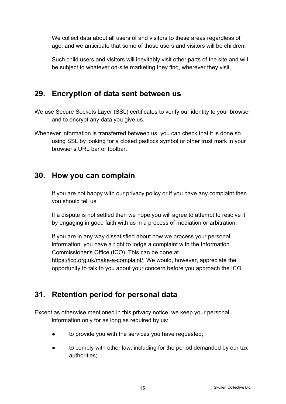We collect data about all users of and visitors to these areas regardless of age, and we anticipate that some of those users and visitors will be children.

Such child users and visitors will inevitably visit other parts of the site and will be subject to whatever on-site marketing they find, wherever they visit.

#### **29. Encryption of data sent between us**

- We use Secure Sockets Layer (SSL) certificates to verify our identity to your browser and to encrypt any data you give us.
- Whenever information is transferred between us, you can check that it is done so using SSL by looking for a closed padlock symbol or other trust mark in your browser's URL bar or toolbar.

#### **30. How you can complain**

If you are not happy with our privacy policy or if you have any complaint then you should tell us.

If a dispute is not settled then we hope you will agree to attempt to resolve it by engaging in good faith with us in a process of mediation or arbitration.

If you are in any way dissatisfied about how we process your personal information, you have a right to lodge a complaint with the Information Commissioner's Office (ICO). This can be done at <https://ico.org.uk/make-a-complaint/>. We would, however, appreciate the opportunity to talk to you about your concern before you approach the ICO.

# **31. Retention period for personal data**

Except as otherwise mentioned in this privacy notice, we keep your personal information only for as long as required by us:

- to provide you with the services you have requested;
- to comply with other law, including for the period demanded by our tax authorities;